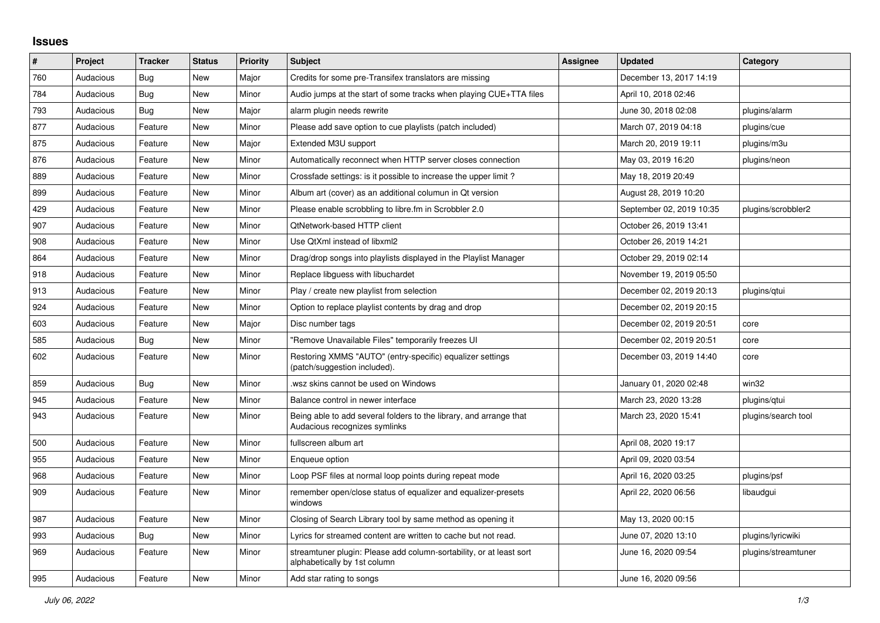## **Issues**

| ∦   | Project   | <b>Tracker</b> | <b>Status</b> | <b>Priority</b> | <b>Subject</b>                                                                                      | <b>Assignee</b> | <b>Updated</b>           | Category            |
|-----|-----------|----------------|---------------|-----------------|-----------------------------------------------------------------------------------------------------|-----------------|--------------------------|---------------------|
| 760 | Audacious | <b>Bug</b>     | <b>New</b>    | Major           | Credits for some pre-Transifex translators are missing                                              |                 | December 13, 2017 14:19  |                     |
| 784 | Audacious | Bug            | New           | Minor           | Audio jumps at the start of some tracks when playing CUE+TTA files                                  |                 | April 10, 2018 02:46     |                     |
| 793 | Audacious | Bug            | <b>New</b>    | Major           | alarm plugin needs rewrite                                                                          |                 | June 30, 2018 02:08      | plugins/alarm       |
| 877 | Audacious | Feature        | <b>New</b>    | Minor           | Please add save option to cue playlists (patch included)                                            |                 | March 07, 2019 04:18     | plugins/cue         |
| 875 | Audacious | Feature        | <b>New</b>    | Major           | Extended M3U support                                                                                |                 | March 20, 2019 19:11     | plugins/m3u         |
| 876 | Audacious | Feature        | <b>New</b>    | Minor           | Automatically reconnect when HTTP server closes connection                                          |                 | May 03, 2019 16:20       | plugins/neon        |
| 889 | Audacious | Feature        | New           | Minor           | Crossfade settings: is it possible to increase the upper limit?                                     |                 | May 18, 2019 20:49       |                     |
| 899 | Audacious | Feature        | New           | Minor           | Album art (cover) as an additional columun in Qt version                                            |                 | August 28, 2019 10:20    |                     |
| 429 | Audacious | Feature        | New           | Minor           | Please enable scrobbling to libre.fm in Scrobbler 2.0                                               |                 | September 02, 2019 10:35 | plugins/scrobbler2  |
| 907 | Audacious | Feature        | <b>New</b>    | Minor           | QtNetwork-based HTTP client                                                                         |                 | October 26, 2019 13:41   |                     |
| 908 | Audacious | Feature        | <b>New</b>    | Minor           | Use QtXml instead of libxml2                                                                        |                 | October 26, 2019 14:21   |                     |
| 864 | Audacious | Feature        | <b>New</b>    | Minor           | Drag/drop songs into playlists displayed in the Playlist Manager                                    |                 | October 29, 2019 02:14   |                     |
| 918 | Audacious | Feature        | New           | Minor           | Replace libguess with libuchardet                                                                   |                 | November 19, 2019 05:50  |                     |
| 913 | Audacious | Feature        | New           | Minor           | Play / create new playlist from selection                                                           |                 | December 02, 2019 20:13  | plugins/gtui        |
| 924 | Audacious | Feature        | <b>New</b>    | Minor           | Option to replace playlist contents by drag and drop                                                |                 | December 02, 2019 20:15  |                     |
| 603 | Audacious | Feature        | <b>New</b>    | Major           | Disc number tags                                                                                    |                 | December 02, 2019 20:51  | core                |
| 585 | Audacious | <b>Bug</b>     | <b>New</b>    | Minor           | "Remove Unavailable Files" temporarily freezes UI                                                   |                 | December 02, 2019 20:51  | core                |
| 602 | Audacious | Feature        | <b>New</b>    | Minor           | Restoring XMMS "AUTO" (entry-specific) equalizer settings<br>(patch/suggestion included).           |                 | December 03, 2019 14:40  | core                |
| 859 | Audacious | <b>Bug</b>     | New           | Minor           | wsz skins cannot be used on Windows                                                                 |                 | January 01, 2020 02:48   | win32               |
| 945 | Audacious | Feature        | <b>New</b>    | Minor           | Balance control in newer interface                                                                  |                 | March 23, 2020 13:28     | plugins/gtui        |
| 943 | Audacious | Feature        | New           | Minor           | Being able to add several folders to the library, and arrange that<br>Audacious recognizes symlinks |                 | March 23, 2020 15:41     | plugins/search tool |
| 500 | Audacious | Feature        | <b>New</b>    | Minor           | fullscreen album art                                                                                |                 | April 08, 2020 19:17     |                     |
| 955 | Audacious | Feature        | <b>New</b>    | Minor           | Enqueue option                                                                                      |                 | April 09, 2020 03:54     |                     |
| 968 | Audacious | Feature        | <b>New</b>    | Minor           | Loop PSF files at normal loop points during repeat mode                                             |                 | April 16, 2020 03:25     | plugins/psf         |
| 909 | Audacious | Feature        | <b>New</b>    | Minor           | remember open/close status of equalizer and equalizer-presets<br>windows                            |                 | April 22, 2020 06:56     | libaudgui           |
| 987 | Audacious | Feature        | <b>New</b>    | Minor           | Closing of Search Library tool by same method as opening it                                         |                 | May 13, 2020 00:15       |                     |
| 993 | Audacious | <b>Bug</b>     | <b>New</b>    | Minor           | Lyrics for streamed content are written to cache but not read.                                      |                 | June 07, 2020 13:10      | plugins/lyricwiki   |
| 969 | Audacious | Feature        | New           | Minor           | streamtuner plugin: Please add column-sortability, or at least sort<br>alphabetically by 1st column |                 | June 16, 2020 09:54      | plugins/streamtuner |
| 995 | Audacious | Feature        | New           | Minor           | Add star rating to songs                                                                            |                 | June 16, 2020 09:56      |                     |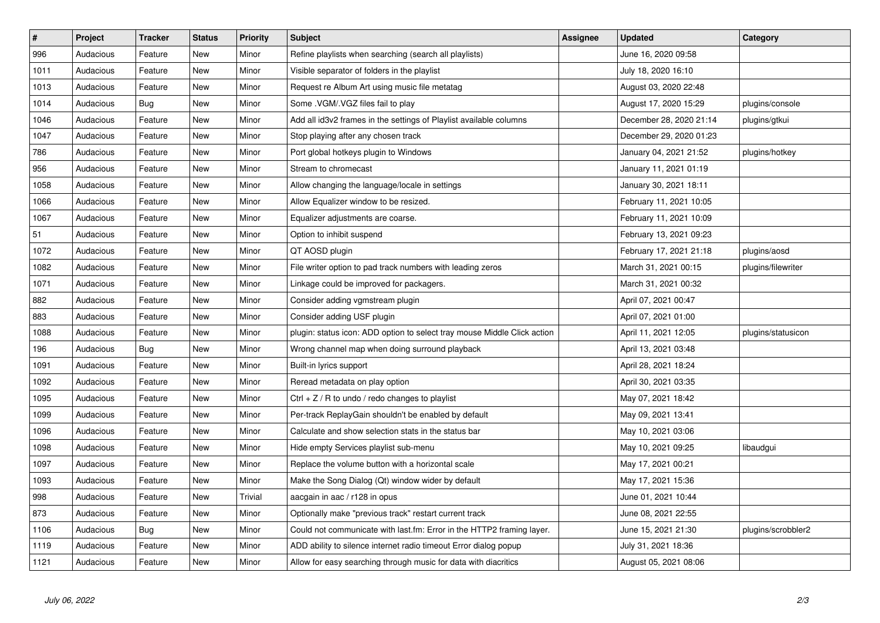| $\sharp$ | Project   | <b>Tracker</b> | <b>Status</b> | <b>Priority</b> | <b>Subject</b>                                                           | <b>Assignee</b> | <b>Updated</b>          | Category           |
|----------|-----------|----------------|---------------|-----------------|--------------------------------------------------------------------------|-----------------|-------------------------|--------------------|
| 996      | Audacious | Feature        | <b>New</b>    | Minor           | Refine playlists when searching (search all playlists)                   |                 | June 16, 2020 09:58     |                    |
| 1011     | Audacious | Feature        | <b>New</b>    | Minor           | Visible separator of folders in the playlist                             |                 | July 18, 2020 16:10     |                    |
| 1013     | Audacious | Feature        | New           | Minor           | Request re Album Art using music file metatag                            |                 | August 03, 2020 22:48   |                    |
| 1014     | Audacious | Bug            | New           | Minor           | Some . VGM/. VGZ files fail to play                                      |                 | August 17, 2020 15:29   | plugins/console    |
| 1046     | Audacious | Feature        | New           | Minor           | Add all id3v2 frames in the settings of Playlist available columns       |                 | December 28, 2020 21:14 | plugins/gtkui      |
| 1047     | Audacious | Feature        | <b>New</b>    | Minor           | Stop playing after any chosen track                                      |                 | December 29, 2020 01:23 |                    |
| 786      | Audacious | Feature        | New           | Minor           | Port global hotkeys plugin to Windows                                    |                 | January 04, 2021 21:52  | plugins/hotkey     |
| 956      | Audacious | Feature        | <b>New</b>    | Minor           | Stream to chromecast                                                     |                 | January 11, 2021 01:19  |                    |
| 1058     | Audacious | Feature        | New           | Minor           | Allow changing the language/locale in settings                           |                 | January 30, 2021 18:11  |                    |
| 1066     | Audacious | Feature        | <b>New</b>    | Minor           | Allow Equalizer window to be resized.                                    |                 | February 11, 2021 10:05 |                    |
| 1067     | Audacious | Feature        | <b>New</b>    | Minor           | Equalizer adjustments are coarse.                                        |                 | February 11, 2021 10:09 |                    |
| 51       | Audacious | Feature        | New           | Minor           | Option to inhibit suspend                                                |                 | February 13, 2021 09:23 |                    |
| 1072     | Audacious | Feature        | <b>New</b>    | Minor           | QT AOSD plugin                                                           |                 | February 17, 2021 21:18 | plugins/aosd       |
| 1082     | Audacious | Feature        | New           | Minor           | File writer option to pad track numbers with leading zeros               |                 | March 31, 2021 00:15    | plugins/filewriter |
| 1071     | Audacious | Feature        | New           | Minor           | Linkage could be improved for packagers.                                 |                 | March 31, 2021 00:32    |                    |
| 882      | Audacious | Feature        | New           | Minor           | Consider adding vgmstream plugin                                         |                 | April 07, 2021 00:47    |                    |
| 883      | Audacious | Feature        | New           | Minor           | Consider adding USF plugin                                               |                 | April 07, 2021 01:00    |                    |
| 1088     | Audacious | Feature        | New           | Minor           | plugin: status icon: ADD option to select tray mouse Middle Click action |                 | April 11, 2021 12:05    | plugins/statusicon |
| 196      | Audacious | Bug            | New           | Minor           | Wrong channel map when doing surround playback                           |                 | April 13, 2021 03:48    |                    |
| 1091     | Audacious | Feature        | New           | Minor           | Built-in lyrics support                                                  |                 | April 28, 2021 18:24    |                    |
| 1092     | Audacious | Feature        | New           | Minor           | Reread metadata on play option                                           |                 | April 30, 2021 03:35    |                    |
| 1095     | Audacious | Feature        | New           | Minor           | Ctrl $+$ Z / R to undo / redo changes to playlist                        |                 | May 07, 2021 18:42      |                    |
| 1099     | Audacious | Feature        | New           | Minor           | Per-track ReplayGain shouldn't be enabled by default                     |                 | May 09, 2021 13:41      |                    |
| 1096     | Audacious | Feature        | <b>New</b>    | Minor           | Calculate and show selection stats in the status bar                     |                 | May 10, 2021 03:06      |                    |
| 1098     | Audacious | Feature        | New           | Minor           | Hide empty Services playlist sub-menu                                    |                 | May 10, 2021 09:25      | libaudgui          |
| 1097     | Audacious | Feature        | <b>New</b>    | Minor           | Replace the volume button with a horizontal scale                        |                 | May 17, 2021 00:21      |                    |
| 1093     | Audacious | Feature        | New           | Minor           | Make the Song Dialog (Qt) window wider by default                        |                 | May 17, 2021 15:36      |                    |
| 998      | Audacious | Feature        | <b>New</b>    | Trivial         | aacgain in aac / r128 in opus                                            |                 | June 01, 2021 10:44     |                    |
| 873      | Audacious | Feature        | New           | Minor           | Optionally make "previous track" restart current track                   |                 | June 08, 2021 22:55     |                    |
| 1106     | Audacious | <b>Bug</b>     | New           | Minor           | Could not communicate with last.fm: Error in the HTTP2 framing layer.    |                 | June 15, 2021 21:30     | plugins/scrobbler2 |
| 1119     | Audacious | Feature        | New           | Minor           | ADD ability to silence internet radio timeout Error dialog popup         |                 | July 31, 2021 18:36     |                    |
| 1121     | Audacious | Feature        | New           | Minor           | Allow for easy searching through music for data with diacritics          |                 | August 05, 2021 08:06   |                    |